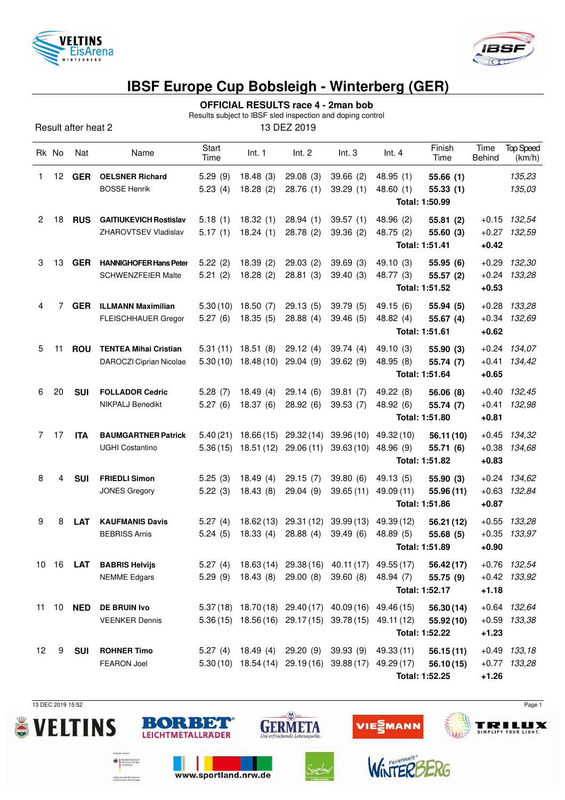



# **IBSF Europe Cup Bobsleigh - Winterberg (GER)**

## **OFFICIAL RESULTS race 4 - 2man bob**

Results subject to IBSF sled inspection and doping control

Result after heat 2 13 DEZ 2019

|                       | Rk No | Nat              | Name                                          | Start<br>Time      | Int. 1               | Int. 2                        | Int.3                                                 | Int.4                | Finish<br>Time       | Time<br>Behind | <b>Top Speed</b><br>(km/h) |  |  |
|-----------------------|-------|------------------|-----------------------------------------------|--------------------|----------------------|-------------------------------|-------------------------------------------------------|----------------------|----------------------|----------------|----------------------------|--|--|
| 1                     | 12    | <b>GER</b>       | <b>OELSNER Richard</b><br><b>BOSSE Henrik</b> | 5.29(9)<br>5.23(4) | 18.48(3)<br>18.28(2) | 29.08(3)<br>28.76 (1)         | 39.66(2)<br>39.29(1)                                  | 48.95(1)<br>48.60(1) | 55.66(1)<br>55.33(1) |                | 135,23<br>135,03           |  |  |
|                       |       |                  |                                               |                    |                      |                               |                                                       | Total: 1:50.99       |                      |                |                            |  |  |
| $\mathbf{2}^{\prime}$ | 18    | <b>RUS</b>       | <b>GAITIUKEVICH Rostislav</b>                 | 5.18(1)            | 18.32(1)             | 28.94(1)                      | 39.57(1)                                              | 48.96 (2)            | 55.81 (2)            | $+0.15$        | 132,54                     |  |  |
|                       |       |                  | ZHAROVTSEV Vladislav                          | 5.17(1)            | 18.24(1)             | 28.78(2)                      | 39.36 (2)                                             | 48.75 (2)            | 55.60(3)             | $+0.27$        | 132,59                     |  |  |
|                       |       |                  |                                               |                    |                      |                               |                                                       | Total: 1:51.41       |                      | $+0.42$        |                            |  |  |
| 3                     | 13    | <b>GER</b>       | <b>HANNIGHOFER Hans Peter</b>                 | 5.22(2)            | 18.39(2)             | 29.03(2)                      | 39.69(3)                                              | 49.10 (3)            | 55.95 (6)            | $+0.29$        | 132,30                     |  |  |
|                       |       |                  | <b>SCHWENZFEIER Malte</b>                     | 5.21(2)            | 18.28(2)             | 28.81(3)                      | 39.40 (3)                                             | 48.77 (3)            | 55.57 (2)            | $+0.24$        | 133,28                     |  |  |
|                       |       |                  |                                               |                    |                      |                               |                                                       | Total: 1:51.52       |                      | $+0.53$        |                            |  |  |
| 4                     | 7     | <b>GER</b>       | <b>ILLMANN Maximilian</b>                     | 5.30(10)           | 18.50(7)             | 29.13(5)                      | 39.79(5)                                              | 49.15 (6)            | 55.94(5)             | $+0.28$        | 133,28                     |  |  |
|                       |       |                  | <b>FLEISCHHAUER Gregor</b>                    | 5.27(6)            | 18.35(5)             | 28.88(4)                      | 39.46(5)                                              | 48.82 (4)            | 55.67(4)             | $+0.34$        | 132,69                     |  |  |
|                       |       |                  |                                               |                    |                      |                               |                                                       | Total: 1:51.61       |                      | $+0.62$        |                            |  |  |
| 5                     | 11    | <b>ROU</b>       | <b>TENTEA Mihai Cristian</b>                  | 5.31(11)           | 18.51(8)             | 29.12(4)                      | 39.74(4)                                              | 49.10 (3)            | 55.90 (3)            | $+0.24$        | 134,07                     |  |  |
|                       |       |                  | DAROCZI Ciprian Nicolae                       | 5.30(10)           | 18.48(10)            | 29.04(9)                      | 39.62 (9)                                             | 48.95 (8)            | 55.74 (7)            | $+0.41$        | 134,42                     |  |  |
|                       |       |                  |                                               |                    |                      |                               |                                                       | Total: 1:51.64       |                      | $+0.65$        |                            |  |  |
| 6                     | 20    | <b>SUI</b>       | <b>FOLLADOR Cedric</b>                        | 5.28(7)            | 18.49(4)             | 29.14(6)                      | 39.81(7)                                              | 49.22 (8)            | 56.06 (8)            | $+0.40$        | 132,45                     |  |  |
|                       |       |                  | <b>NIKPALJ Benedikt</b>                       | 5.27(6)            | 18.37(6)             | 28.92(6)                      | 39.53 (7)                                             | 48.92 (6)            | 55.74 (7)            | $+0.41$        | 132,98                     |  |  |
|                       |       |                  |                                               |                    |                      |                               |                                                       | Total: 1:51.80       |                      | $+0.81$        |                            |  |  |
| $\overline{7}$        | 17    | <b>ITA</b>       | <b>BAUMGARTNER Patrick</b>                    | 5.40(21)           | 18.66(15)            | 29.32(14)                     | 39.96(10)                                             | 49.32 (10)           | 56.11(10)            | $+0.45$        | 134,32                     |  |  |
|                       |       |                  | <b>UGHI Costantino</b>                        | 5.36(15)           | 18.51(12)            | 29.06(11)                     | 39.63(10)                                             | 48.96 (9)            | 55.71 (6)            | $+0.38$        | 134,68                     |  |  |
|                       |       |                  |                                               |                    |                      |                               |                                                       | Total: 1:51.82       |                      | $+0.83$        |                            |  |  |
| 8                     | 4     | <b>SUI</b>       | <b>FRIEDLI Simon</b>                          | 5.25(3)            | 18.49(4)             | 29.15(7)                      | 39.80 (6)                                             | 49.13(5)             | 55.90 (3)            |                | $+0.24$ 134,62             |  |  |
|                       |       |                  | JONES Gregory                                 | 5.22(3)            | 18.43(8)             | 29.04 (9)                     | 39.65 (11)                                            | 49.09 (11)           | 55.96 (11)           | $+0.63$        | 132,84                     |  |  |
|                       |       |                  |                                               |                    |                      |                               |                                                       | Total: 1:51.86       |                      | $+0.87$        |                            |  |  |
| 9                     | 8     | <b>LAT</b>       | <b>KAUFMANIS Davis</b>                        | 5.27(4)            | 18.62(13)            | 29.31(12)                     | 39.99(13)                                             | 49.39 (12)           | 56.21 (12)           | $+0.55$        | 133,28                     |  |  |
|                       |       |                  | <b>BEBRISS Arnis</b>                          | 5.24(5)            | 18.33(4)             | 28.88(4)                      | 39.49(6)                                              | 48.89 (5)            | 55.68 (5)            | $+0.35$        | 133,97                     |  |  |
|                       |       |                  |                                               |                    |                      |                               |                                                       | Total: 1:51.89       |                      | $+0.90$        |                            |  |  |
|                       |       | 10 16 <b>LAT</b> | <b>BABRIS Helvijs</b>                         |                    |                      |                               | 5.27 (4) 18.63 (14) 29.38 (16) 40.11 (17) 49.55 (17)  |                      | 56.42(17)            |                | +0.76 132,54               |  |  |
|                       |       |                  | <b>NEMME</b> Edgars                           |                    |                      | $5.29(9)$ 18.43 (8) 29.00 (8) | 39.60 (8) 48.94 (7)                                   |                      | 55.75 (9)            |                | $+0.42$ 133,92             |  |  |
|                       |       |                  |                                               |                    |                      |                               |                                                       | Total: 1:52.17       |                      | $+1.18$        |                            |  |  |
|                       |       | 11 10 <b>NED</b> | <b>DE BRUIN Ivo</b>                           |                    |                      |                               | 5.37 (18) 18.70 (18) 29.40 (17) 40.09 (16) 49.46 (15) |                      | 56.30(14)            |                | +0.64 132,64               |  |  |
|                       |       |                  | <b>VEENKER Dennis</b>                         |                    |                      |                               | 5.36 (15) 18.56 (16) 29.17 (15) 39.78 (15) 49.11 (12) |                      | 55.92(10)            |                | $+0.59$ $133,38$           |  |  |
|                       |       |                  |                                               |                    |                      |                               |                                                       | Total: 1:52.22       |                      | $+1.23$        |                            |  |  |
| 12                    | 9     | <b>SUI</b>       | <b>ROHNER Timo</b>                            |                    |                      | $5.27(4)$ 18.49 (4) 29.20 (9) | 39.93 (9)                                             | 49.33 (11)           | 56.15(11)            |                | $+0.49$ $133,18$           |  |  |
|                       |       |                  | <b>FEARON Joel</b>                            |                    |                      |                               | 5.30 (10) 18.54 (14) 29.19 (16) 39.88 (17) 49.29 (17) |                      | 56.10(15)            |                | +0.77 133,28               |  |  |
|                       |       |                  |                                               |                    |                      |                               |                                                       | Total: 1:52.25       |                      | $+1.26$        |                            |  |  |

13 DEC 2019 15:52 Page 1





www.sportland.nrw.de

BORBET

**OR** Bundesministerium<br>
als Innern, für Bau<br>
und Heimat

aufgrund eines Beschlusses<br>des Deutschen Bundestages





WinTERE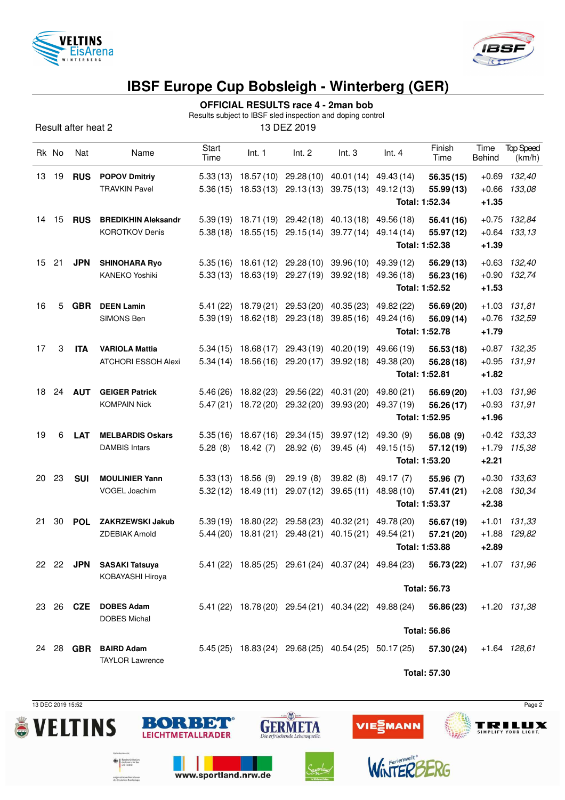



# **IBSF Europe Cup Bobsleigh - Winterberg (GER)**

## **OFFICIAL RESULTS race 4 - 2man bob**

Results subject to IBSF sled inspection and doping control

Result after heat 2 13 DEZ 2019

|    | Rk No | Nat              | Name                                                | Start<br>Time        | Int. 1                             | Int. 2                                                                       | Int.3                   | Int.4                                                             | Finish<br>Time                             | Time<br>Behind                | <b>Top Speed</b><br>(km/h) |
|----|-------|------------------|-----------------------------------------------------|----------------------|------------------------------------|------------------------------------------------------------------------------|-------------------------|-------------------------------------------------------------------|--------------------------------------------|-------------------------------|----------------------------|
| 13 | 19    | <b>RUS</b>       | <b>POPOV Dmitriy</b><br><b>TRAVKIN Pavel</b>        | 5.33(13)<br>5.36(15) | 18.57 (10)<br>18.53 (13)           | 29.28(10)<br>29.13(13)                                                       | 40.01 (14)<br>39.75(13) | 49.43 (14)<br>49.12 (13)                                          | 56.35(15)<br>55.99(13)<br>Total: 1:52.34   | $+0.69$<br>$+0.66$<br>$+1.35$ | 132,40<br>133,08           |
| 14 | 15    | <b>RUS</b>       | <b>BREDIKHIN Aleksandr</b><br><b>KOROTKOV Denis</b> |                      |                                    | $5.39(19)$ 18.71(19) 29.42(18)<br>5.38 (18) 18.55 (15) 29.15 (14) 39.77 (14) | 40.13 (18)              | 49.56 (18)<br>49.14 (14)                                          | 56.41 (16)<br>55.97 (12)<br>Total: 1:52.38 | $+0.75$<br>$+0.64$<br>$+1.39$ | 132,84<br>133,13           |
| 15 | 21    | <b>JPN</b>       | <b>SHINOHARA Ryo</b><br><b>KANEKO Yoshiki</b>       | 5.35(16)<br>5.33(13) | 18.63 (19)                         | 18.61 (12) 29.28 (10)<br>29.27 (19)                                          | 39.96(10)<br>39.92(18)  | 49.39 (12)<br>49.36 (18)                                          | 56.29(13)<br>56.23(16)<br>Total: 1:52.52   | $+0.63$<br>$+0.90$<br>$+1.53$ | 132,40<br>132,74           |
| 16 | 5     | <b>GBR</b>       | <b>DEEN Lamin</b><br>SIMONS Ben                     | 5.41(22)<br>5.39(19) | 18.62 (18)                         | 18.79 (21) 29.53 (20)<br>29.23(18)                                           | 40.35(23)<br>39.85(16)  | 49.82 (22)<br>49.24 (16)                                          | 56.69 (20)<br>56.09 (14)<br>Total: 1:52.78 | $+0.76$<br>$+1.79$            | $+1.03$ $131,81$<br>132,59 |
| 17 | 3     | <b>ITA</b>       | <b>VARIOLA Mattia</b><br><b>ATCHORI ESSOH Alexi</b> | 5.34(15)<br>5.34(14) | 18.68(17)<br>18.56 (16)            | 29.43(19)<br>29.20(17)                                                       | 40.20 (19)<br>39.92(18) | 49.66 (19)<br>49.38 (20)                                          | 56.53(18)<br>56.28 (18)<br>Total: 1:52.81  | $+0.95$<br>$+1.82$            | $+0.87$ 132,35<br>131,91   |
| 18 | 24    | <b>AUT</b>       | <b>GEIGER Patrick</b><br><b>KOMPAIN Nick</b>        | 5.46(26)<br>5.47(21) | 18.82 (23)<br>18.72 (20)           | 29.56 (22)<br>29.32 (20)                                                     | 40.31 (20)<br>39.93(20) | 49.80 (21)<br>49.37 (19)                                          | 56.69 (20)<br>56.26(17)<br>Total: 1:52.95  | $+1.03$<br>$+0.93$<br>$+1.96$ | 131,96<br>131,91           |
| 19 | 6     | <b>LAT</b>       | <b>MELBARDIS Oskars</b><br><b>DAMBIS Intars</b>     | 5.35(16)<br>5.28(8)  | 18.67(16)<br>18.42(7)              | 29.34 (15)<br>28.92(6)                                                       | 39.97(12)<br>39.45(4)   | 49.30 (9)<br>49.15 (15)                                           | 56.08 (9)<br>57.12(19)<br>Total: 1:53.20   | $+1.79$<br>$+2.21$            | $+0.42$ $133,33$<br>115,38 |
| 20 | 23    | <b>SUI</b>       | <b>MOULINIER Yann</b><br>VOGEL Joachim              | 5.33(13)<br>5.32(12) | 18.56(9)<br>18.49(11)              | 29.19(8)<br>29.07(12)                                                        | 39.82(8)<br>39.65(11)   | 49.17 (7)<br>48.98 (10)                                           | 55.96 (7)<br>57.41 (21)<br>Total: 1:53.37  | $+0.30$<br>$+2.08$<br>$+2.38$ | 133,63<br>130,34           |
| 21 | 30    | <b>POL</b>       | <b>ZAKRZEWSKI Jakub</b><br><b>ZDEBIAK Arnold</b>    | 5.44(20)             | $5.39(19)$ 18.80 (22)<br>18.81(21) | 29.58(23)<br>29.48 (21)                                                      | 40.32 (21)<br>40.15(21) | 49.78 (20)<br>49.54 (21)                                          | 56.67 (19)<br>57.21 (20)<br>Total: 1:53.88 | $+1.01$<br>$+1.88$<br>$+2.89$ | 131,33<br>129,82           |
|    |       |                  | 22 22 JPN SASAKI Tatsuya<br>KOBAYASHI Hiroya        |                      |                                    |                                                                              |                         | $5.41(22)$ 18.85 (25) 29.61 (24) 40.37 (24) 49.84 (23) 56.73 (22) | <b>Total: 56.73</b>                        |                               | +1.07 131,96               |
|    |       | 23 26 <b>CZE</b> | <b>DOBES Adam</b><br><b>DOBES Michal</b>            |                      |                                    |                                                                              |                         | 5.41 (22) 18.78 (20) 29.54 (21) 40.34 (22) 49.88 (24)             | 56.86 (23)<br><b>Total: 56.86</b>          |                               | +1.20 131,38               |
|    |       |                  | 24 28 GBR BAIRD Adam<br><b>TAYLOR Lawrence</b>      |                      |                                    |                                                                              |                         | 5.45 (25) 18.83 (24) 29.68 (25) 40.54 (25) 50.17 (25)             | 57.30 (24)                                 |                               | +1.64 128,61               |

**Total: 57.30**





www.sportland.nrw.de

BORBET

the Lindsministerium<br>and Heimat

aufgrund eines Beschlussen<br>des Deutschen Bundestager





VIE EMANN

**TRILUX**